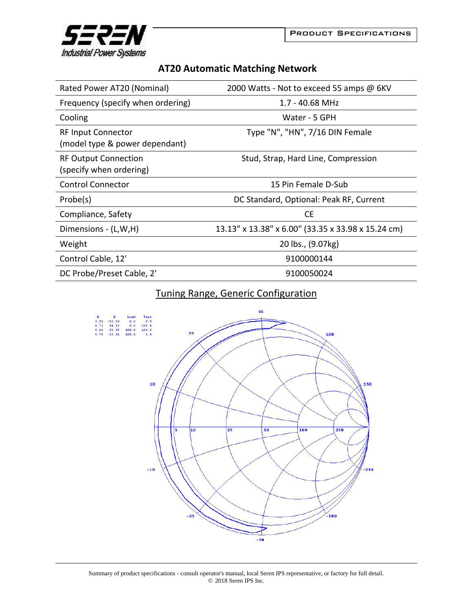

| <b>AT20 Automatic Matching Network</b> |  |  |
|----------------------------------------|--|--|
|----------------------------------------|--|--|

| Rated Power AT20 (Nominal)                                  | 2000 Watts - Not to exceed 55 amps @ 6KV           |
|-------------------------------------------------------------|----------------------------------------------------|
| Frequency (specify when ordering)                           | $1.7 - 40.68$ MHz                                  |
| Cooling                                                     | Water - 5 GPH                                      |
| <b>RF Input Connector</b><br>(model type & power dependant) | Type "N", "HN", 7/16 DIN Female                    |
| <b>RF Output Connection</b><br>(specify when ordering)      | Stud, Strap, Hard Line, Compression                |
| <b>Control Connector</b>                                    | 15 Pin Female D-Sub                                |
| Probe(s)                                                    | DC Standard, Optional: Peak RF, Current            |
| Compliance, Safety                                          | <b>CE</b>                                          |
| Dimensions - (L,W,H)                                        | 13.13" x 13.38" x 6.00" (33.35 x 33.98 x 15.24 cm) |
| Weight                                                      | 20 lbs., (9.07kg)                                  |
| Control Cable, 12'                                          | 9100000144                                         |
| DC Probe/Preset Cable, 2'                                   | 9100050024                                         |

## Tuning Range, Generic Configuration